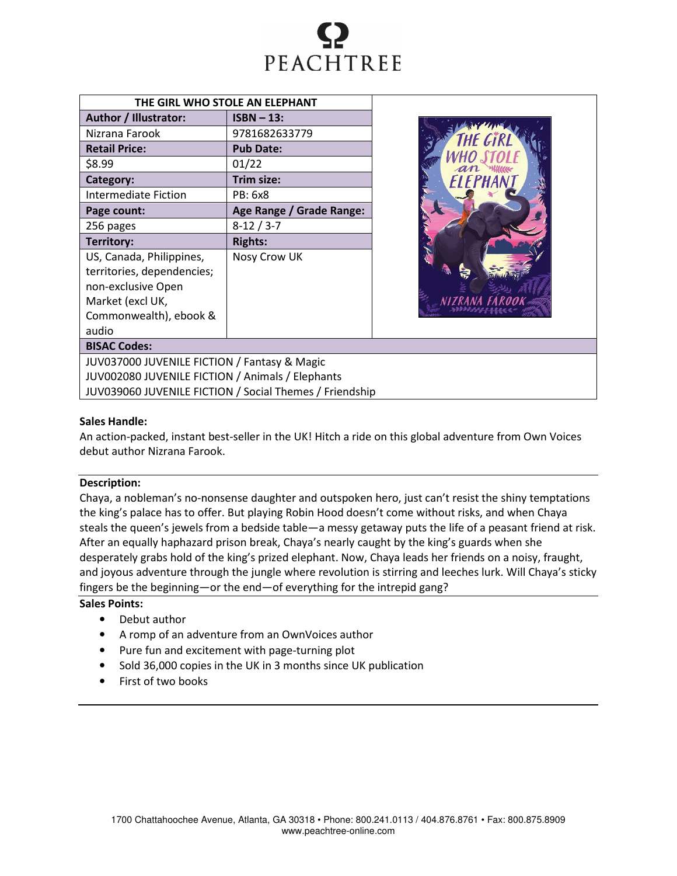

| THE GIRL WHO STOLE AN ELEPHANT     |                          |  |  |  |
|------------------------------------|--------------------------|--|--|--|
| Author / Illustrator:              | $ISBN - 13:$             |  |  |  |
| Nizrana Farook                     | 9781682633779            |  |  |  |
| <b>Retail Price:</b>               | <b>Pub Date:</b>         |  |  |  |
| \$8.99                             | 01/22                    |  |  |  |
| Category:                          | Trim size:               |  |  |  |
| <b>Intermediate Fiction</b>        | PB: 6x8                  |  |  |  |
| Page count:                        | Age Range / Grade Range: |  |  |  |
| 256 pages                          | $8-12/3-7$               |  |  |  |
| <b>Territory:</b>                  | <b>Rights:</b>           |  |  |  |
| US, Canada, Philippines,           | Nosy Crow UK             |  |  |  |
| territories, dependencies;         |                          |  |  |  |
| non-exclusive Open                 |                          |  |  |  |
| Market (excl UK,                   |                          |  |  |  |
| Commonwealth), ebook &             |                          |  |  |  |
| audio                              |                          |  |  |  |
| <b>BISAC Codes:</b>                |                          |  |  |  |
| $UUV027000$ $UUVFNIUFETOM/En_{20}$ |                          |  |  |  |



JUV037000 JUVENILE FICTION / Fantasy & Magic JUV002080 JUVENILE FICTION / Animals / Elephants JUV039060 JUVENILE FICTION / Social Themes / Friendship

# Sales Handle:

An action-packed, instant best-seller in the UK! Hitch a ride on this global adventure from Own Voices debut author Nizrana Farook.

# Description:

Chaya, a nobleman's no-nonsense daughter and outspoken hero, just can't resist the shiny temptations the king's palace has to offer. But playing Robin Hood doesn't come without risks, and when Chaya steals the queen's jewels from a bedside table—a messy getaway puts the life of a peasant friend at risk. After an equally haphazard prison break, Chaya's nearly caught by the king's guards when she desperately grabs hold of the king's prized elephant. Now, Chaya leads her friends on a noisy, fraught, and joyous adventure through the jungle where revolution is stirring and leeches lurk. Will Chaya's sticky fingers be the beginning—or the end—of everything for the intrepid gang?

# Sales Points:

- Debut author
- A romp of an adventure from an OwnVoices author
- Pure fun and excitement with page-turning plot
- Sold 36,000 copies in the UK in 3 months since UK publication
- First of two books